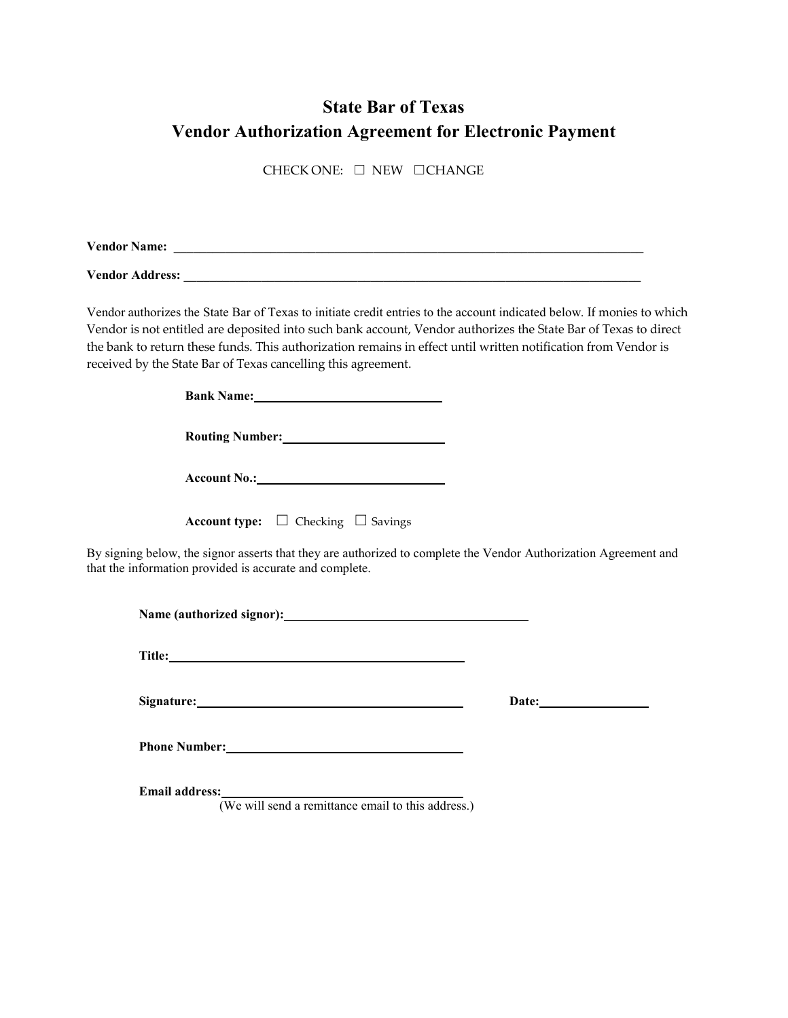## **State Bar of Texas Vendor Authorization Agreement for Electronic Payment**

CHECK ONE: ☐ NEW ☐CHANGE

**Vendor Name: \_\_\_\_\_\_\_\_\_\_\_\_\_\_\_\_\_\_\_\_\_\_\_\_\_\_\_\_\_\_\_\_\_\_\_\_\_\_\_\_\_\_\_\_\_\_\_\_\_\_\_\_\_\_\_\_\_\_\_\_\_\_\_\_\_\_\_\_\_\_\_\_\_**

**Vendor Address: \_\_\_\_\_\_\_\_\_\_\_\_\_\_\_\_\_\_\_\_\_\_\_\_\_\_\_\_\_\_\_\_\_\_\_\_\_\_\_\_\_\_\_\_\_\_\_\_\_\_\_\_\_\_\_\_\_\_\_\_\_\_\_\_\_\_\_\_\_\_\_**

Vendor authorizes the State Bar of Texas to initiate credit entries to the account indicated below. If monies to which Vendor is not entitled are deposited into such bank account, Vendor authorizes the State Bar of Texas to direct the bank to return these funds. This authorization remains in effect until written notification from Vendor is received by the State Bar of Texas cancelling this agreement.

| <b>Bank Name:</b>                                                                                                                                                           |  |  |  |  |  |
|-----------------------------------------------------------------------------------------------------------------------------------------------------------------------------|--|--|--|--|--|
|                                                                                                                                                                             |  |  |  |  |  |
|                                                                                                                                                                             |  |  |  |  |  |
| <b>Account type:</b> $\Box$ Checking $\Box$ Savings                                                                                                                         |  |  |  |  |  |
| By signing below, the signor asserts that they are authorized to complete the Vendor Authorization Agreement and<br>that the information provided is accurate and complete. |  |  |  |  |  |

**Name (authorized signor):**

**Title:** 

**Signature: Date:**

**Phone Number:**

**Email address:**

(We will send a remittance email to this address.)